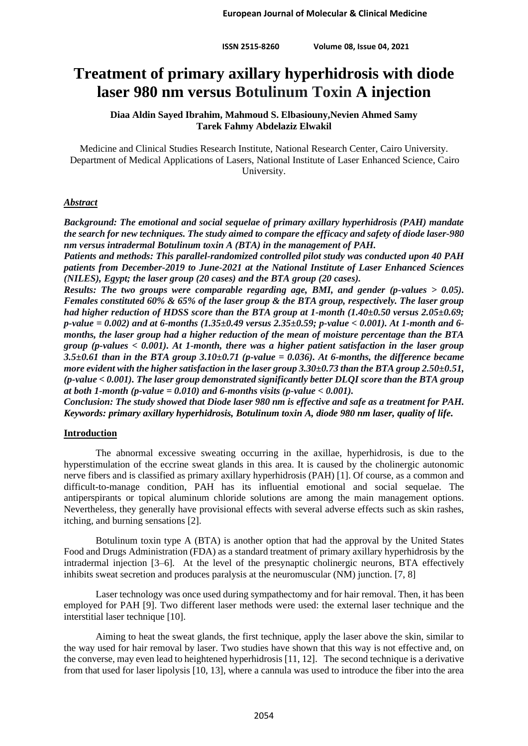# **Treatment of primary axillary hyperhidrosis with diode laser 980 nm versus Botulinum Toxin A injection**

**Diaa Aldin Sayed Ibrahim, Mahmoud S. Elbasiouny,Nevien Ahmed Samy Tarek Fahmy Abdelaziz Elwakil**

Medicine and Clinical Studies Research Institute, National Research Center, Cairo University. Department of Medical Applications of Lasers, National Institute of Laser Enhanced Science, Cairo University.

## *Abstract*

*Background: The emotional and social sequelae of primary axillary hyperhidrosis (PAH) mandate the search for new techniques. The study aimed to compare the efficacy and safety of diode laser-980 nm versus intradermal Botulinum toxin A (BTA) in the management of PAH.*

*Patients and methods: This parallel-randomized controlled pilot study was conducted upon 40 PAH patients from December-2019 to June-2021 at the National Institute of Laser Enhanced Sciences (NILES), Egypt; the laser group (20 cases) and the BTA group (20 cases).*

*Results: The two groups were comparable regarding age, BMI, and gender (p-values > 0.05). Females constituted 60% & 65% of the laser group & the BTA group, respectively. The laser group had higher reduction of HDSS score than the BTA group at 1-month (1.40±0.50 versus 2.05±0.69; p-value = 0.002) and at 6-months (1.35±0.49 versus 2.35±0.59; p-value < 0.001). At 1-month and 6 months, the laser group had a higher reduction of the mean of moisture percentage than the BTA group (p-values < 0.001). At 1-month, there was a higher patient satisfaction in the laser group 3.5±0.61 than in the BTA group 3.10±0.71 (p-value = 0.036). At 6-months, the difference became more evident with the higher satisfaction in the laser group 3.30±0.73 than the BTA group 2.50±0.51, (p-value < 0.001). The laser group demonstrated significantly better DLQI score than the BTA group at both 1-month (p-value = 0.010) and 6-months visits (p-value < 0.001).*

*Conclusion: The study showed that Diode laser 980 nm is effective and safe as a treatment for PAH. Keywords: primary axillary hyperhidrosis, Botulinum toxin A, diode 980 nm laser, quality of life.*

## **Introduction**

The abnormal excessive sweating occurring in the axillae, hyperhidrosis, is due to the hyperstimulation of the eccrine sweat glands in this area. It is caused by the cholinergic autonomic nerve fibers and is classified as primary axillary hyperhidrosis (PAH) [1]. Of course, as a common and difficult-to-manage condition, PAH has its influential emotional and social sequelae. The antiperspirants or topical aluminum chloride solutions are among the main management options. Nevertheless, they generally have provisional effects with several adverse effects such as skin rashes, itching, and burning sensations [2].

Botulinum toxin type A (BTA) is another option that had the approval by the United States Food and Drugs Administration (FDA) as a standard treatment of primary axillary hyperhidrosis by the intradermal injection [3–6]. At the level of the presynaptic cholinergic neurons, BTA effectively inhibits sweat secretion and produces paralysis at the neuromuscular (NM) junction. [7, 8]

Laser technology was once used during sympathectomy and for hair removal. Then, it has been employed for PAH [9]. Two different laser methods were used: the external laser technique and the interstitial laser technique [10].

Aiming to heat the sweat glands, the first technique, apply the laser above the skin, similar to the way used for hair removal by laser. Two studies have shown that this way is not effective and, on the converse, may even lead to heightened hyperhidrosis [11, 12]. The second technique is a derivative from that used for laser lipolysis [10, 13], where a cannula was used to introduce the fiber into the area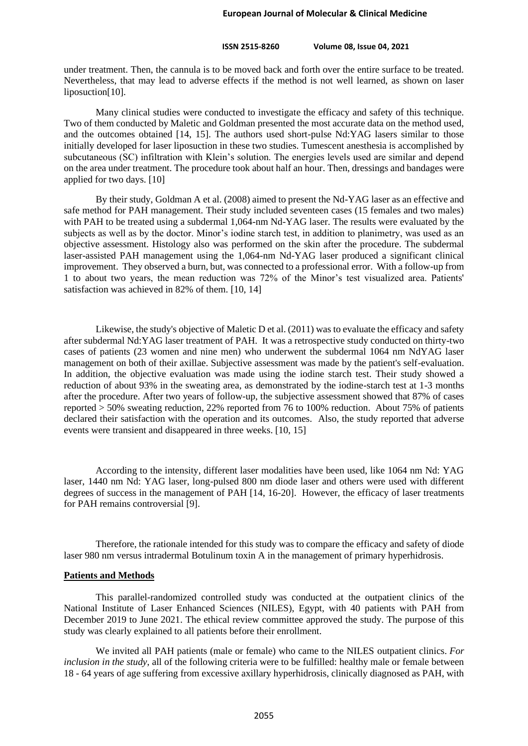under treatment. Then, the cannula is to be moved back and forth over the entire surface to be treated. Nevertheless, that may lead to adverse effects if the method is not well learned, as shown on laser liposuction[10].

Many clinical studies were conducted to investigate the efficacy and safety of this technique. Two of them conducted by Maletic and Goldman presented the most accurate data on the method used, and the outcomes obtained [14, 15]. The authors used short-pulse Nd:YAG lasers similar to those initially developed for laser liposuction in these two studies. Tumescent anesthesia is accomplished by subcutaneous (SC) infiltration with Klein's solution. The energies levels used are similar and depend on the area under treatment. The procedure took about half an hour. Then, dressings and bandages were applied for two days. [10]

By their study, Goldman A et al. (2008) aimed to present the Nd-YAG laser as an effective and safe method for PAH management. Their study included seventeen cases (15 females and two males) with PAH to be treated using a subdermal 1,064-nm Nd-YAG laser. The results were evaluated by the subjects as well as by the doctor. Minor's iodine starch test, in addition to planimetry, was used as an objective assessment. Histology also was performed on the skin after the procedure. The subdermal laser-assisted PAH management using the 1,064-nm Nd-YAG laser produced a significant clinical improvement. They observed a burn, but, was connected to a professional error. With a follow-up from 1 to about two years, the mean reduction was 72% of the Minor's test visualized area. Patients' satisfaction was achieved in 82% of them. [10, 14]

Likewise, the study's objective of Maletic D et al. (2011) was to evaluate the efficacy and safety after subdermal Nd:YAG laser treatment of PAH. It was a retrospective study conducted on thirty-two cases of patients (23 women and nine men) who underwent the subdermal 1064 nm NdYAG laser management on both of their axillae. Subjective assessment was made by the patient's self-evaluation. In addition, the objective evaluation was made using the iodine starch test. Their study showed a reduction of about 93% in the sweating area, as demonstrated by the iodine-starch test at 1-3 months after the procedure. After two years of follow-up, the subjective assessment showed that 87% of cases reported > 50% sweating reduction, 22% reported from 76 to 100% reduction. About 75% of patients declared their satisfaction with the operation and its outcomes. Also, the study reported that adverse events were transient and disappeared in three weeks. [10, 15]

According to the intensity, different laser modalities have been used, like 1064 nm Nd: YAG laser, 1440 nm Nd: YAG laser, long-pulsed 800 nm diode laser and others were used with different degrees of success in the management of PAH [14, 16-20]. However, the efficacy of laser treatments for PAH remains controversial [9].

Therefore, the rationale intended for this study was to compare the efficacy and safety of diode laser 980 nm versus intradermal Botulinum toxin A in the management of primary hyperhidrosis.

#### **Patients and Methods**

This parallel-randomized controlled study was conducted at the outpatient clinics of the National Institute of Laser Enhanced Sciences (NILES), Egypt, with 40 patients with PAH from December 2019 to June 2021. The ethical review committee approved the study. The purpose of this study was clearly explained to all patients before their enrollment.

We invited all PAH patients (male or female) who came to the NILES outpatient clinics. *For inclusion in the study*, all of the following criteria were to be fulfilled: healthy male or female between 18 - 64 years of age suffering from excessive axillary hyperhidrosis, clinically diagnosed as PAH, with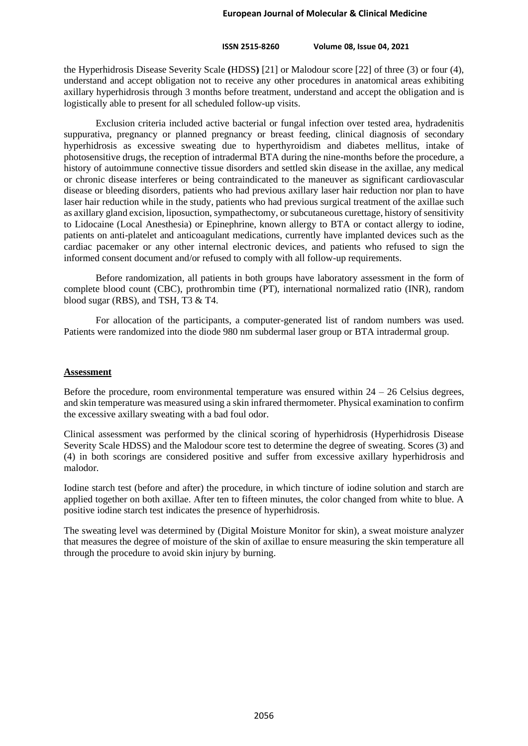the Hyperhidrosis Disease Severity Scale **(**HDSS**)** [21] or Malodour score [22] of three (3) or four (4), understand and accept obligation not to receive any other procedures in anatomical areas exhibiting axillary hyperhidrosis through 3 months before treatment, understand and accept the obligation and is logistically able to present for all scheduled follow-up visits.

Exclusion criteria included active bacterial or fungal infection over tested area, hydradenitis suppurativa, pregnancy or planned pregnancy or breast feeding, clinical diagnosis of secondary hyperhidrosis as excessive sweating due to hyperthyroidism and diabetes mellitus, intake of photosensitive drugs, the reception of intradermal BTA during the nine-months before the procedure, a history of autoimmune connective tissue disorders and settled skin disease in the axillae, any medical or chronic disease interferes or being contraindicated to the maneuver as significant cardiovascular disease or bleeding disorders, patients who had previous axillary laser hair reduction nor plan to have laser hair reduction while in the study, patients who had previous surgical treatment of the axillae such as axillary gland excision, liposuction, sympathectomy, or subcutaneous curettage, history of sensitivity to Lidocaine (Local Anesthesia) or Epinephrine, known allergy to BTA or contact allergy to iodine, patients on anti-platelet and anticoagulant medications, currently have implanted devices such as the cardiac pacemaker or any other internal electronic devices, and patients who refused to sign the informed consent document and/or refused to comply with all follow-up requirements.

Before randomization, all patients in both groups have laboratory assessment in the form of complete blood count (CBC), prothrombin time (PT), international normalized ratio (INR), random blood sugar (RBS), and TSH, T3 & T4.

For allocation of the participants, a computer-generated list of random numbers was used. Patients were randomized into the diode 980 nm subdermal laser group or BTA intradermal group.

#### **Assessment**

Before the procedure, room environmental temperature was ensured within  $24 - 26$  Celsius degrees, and skin temperature was measured using a skin infrared thermometer. Physical examination to confirm the excessive axillary sweating with a bad foul odor.

Clinical assessment was performed by the clinical scoring of hyperhidrosis (Hyperhidrosis Disease Severity Scale HDSS) and the Malodour score test to determine the degree of sweating. Scores (3) and (4) in both scorings are considered positive and suffer from excessive axillary hyperhidrosis and malodor.

Iodine starch test (before and after) the procedure, in which tincture of iodine solution and starch are applied together on both axillae. After ten to fifteen minutes, the color changed from white to blue. A positive iodine starch test indicates the presence of hyperhidrosis.

The sweating level was determined by (Digital Moisture Monitor for skin), a sweat moisture analyzer that measures the degree of moisture of the skin of axillae to ensure measuring the skin temperature all through the procedure to avoid skin injury by burning.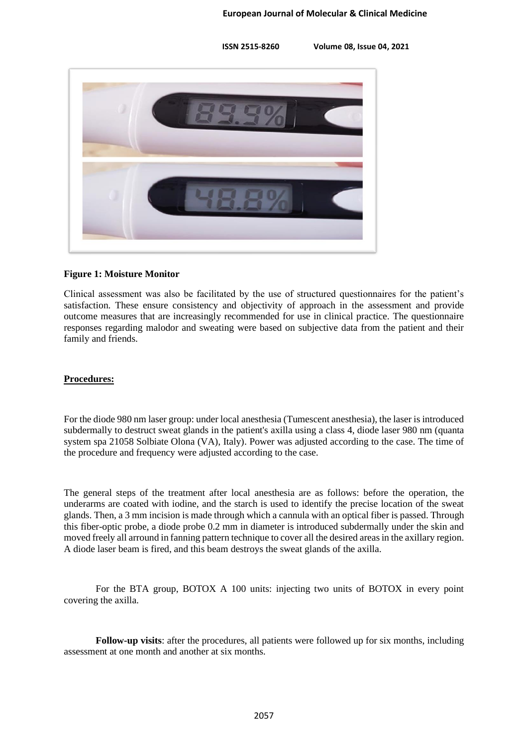

#### **Figure 1: Moisture Monitor**

Clinical assessment was also be facilitated by the use of structured questionnaires for the patient's satisfaction. These ensure consistency and objectivity of approach in the assessment and provide outcome measures that are increasingly recommended for use in clinical practice. The questionnaire responses regarding malodor and sweating were based on subjective data from the patient and their family and friends.

## **Procedures:**

For the diode 980 nm laser group: under local anesthesia (Tumescent anesthesia), the laser is introduced subdermally to destruct sweat glands in the patient's axilla using a class 4, diode laser 980 nm (quanta system spa 21058 Solbiate Olona (VA), Italy). Power was adjusted according to the case. The time of the procedure and frequency were adjusted according to the case.

The general steps of the treatment after local anesthesia are as follows: before the operation, the underarms are coated with iodine, and the starch is used to identify the precise location of the sweat glands. Then, a 3 mm incision is made through which a cannula with an optical fiber is passed. Through this fiber-optic probe, a diode probe 0.2 mm in diameter is introduced subdermally under the skin and moved freely all arround in fanning pattern technique to cover all the desired areas in the axillary region. A diode laser beam is fired, and this beam destroys the sweat glands of the axilla.

For the BTA group, BOTOX A 100 units: injecting two units of BOTOX in every point covering the axilla.

**Follow-up visits**: after the procedures, all patients were followed up for six months, including assessment at one month and another at six months.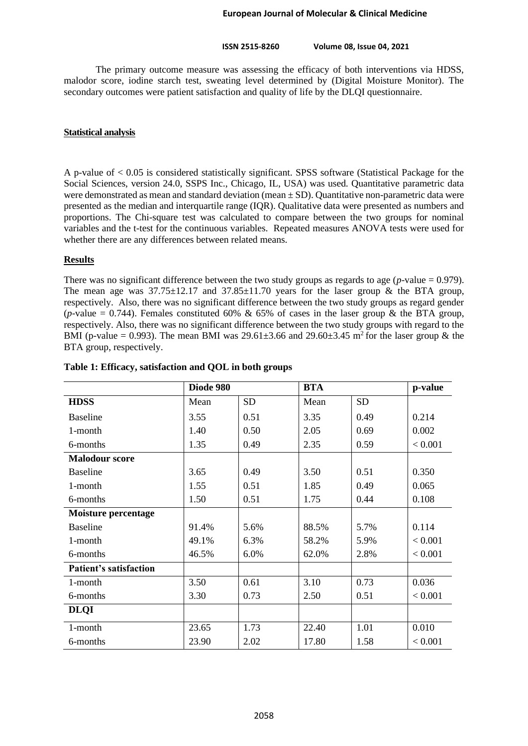The primary outcome measure was assessing the efficacy of both interventions via HDSS, malodor score, iodine starch test, sweating level determined by (Digital Moisture Monitor). The secondary outcomes were patient satisfaction and quality of life by the DLQI questionnaire.

#### **Statistical analysis**

A p-value of < 0.05 is considered statistically significant. SPSS software (Statistical Package for the Social Sciences, version 24.0, SSPS Inc., Chicago, IL, USA) was used. Quantitative parametric data were demonstrated as mean and standard deviation (mean  $\pm$  SD). Quantitative non-parametric data were presented as the median and interquartile range (IQR). Qualitative data were presented as numbers and proportions. The Chi-square test was calculated to compare between the two groups for nominal variables and the t-test for the continuous variables. Repeated measures ANOVA tests were used for whether there are any differences between related means.

#### **Results**

There was no significant difference between the two study groups as regards to age  $(p$ -value = 0.979). The mean age was  $37.75 \pm 12.17$  and  $37.85 \pm 11.70$  years for the laser group & the BTA group, respectively. Also, there was no significant difference between the two study groups as regard gender (*p*-value = 0.744). Females constituted 60% & 65% of cases in the laser group & the BTA group, respectively. Also, there was no significant difference between the two study groups with regard to the BMI (p-value = 0.993). The mean BMI was  $29.61 \pm 3.66$  and  $29.60 \pm 3.45$  m<sup>2</sup> for the laser group & the BTA group, respectively.

|                               | Diode 980 |           | <b>BTA</b> |           | p-value |
|-------------------------------|-----------|-----------|------------|-----------|---------|
| <b>HDSS</b>                   | Mean      | <b>SD</b> | Mean       | <b>SD</b> |         |
| <b>Baseline</b>               | 3.55      | 0.51      | 3.35       | 0.49      | 0.214   |
| 1-month                       | 1.40      | 0.50      | 2.05       | 0.69      | 0.002   |
| 6-months                      | 1.35      | 0.49      | 2.35       | 0.59      | < 0.001 |
| <b>Malodour score</b>         |           |           |            |           |         |
| <b>Baseline</b>               | 3.65      | 0.49      | 3.50       | 0.51      | 0.350   |
| 1-month                       | 1.55      | 0.51      | 1.85       | 0.49      | 0.065   |
| 6-months                      | 1.50      | 0.51      | 1.75       | 0.44      | 0.108   |
| <b>Moisture percentage</b>    |           |           |            |           |         |
| <b>Baseline</b>               | 91.4%     | 5.6%      | 88.5%      | 5.7%      | 0.114   |
| 1-month                       | 49.1%     | 6.3%      | 58.2%      | 5.9%      | < 0.001 |
| 6-months                      | 46.5%     | 6.0%      | 62.0%      | 2.8%      | < 0.001 |
| <b>Patient's satisfaction</b> |           |           |            |           |         |
| 1-month                       | 3.50      | 0.61      | 3.10       | 0.73      | 0.036   |
| 6-months                      | 3.30      | 0.73      | 2.50       | 0.51      | < 0.001 |
| <b>DLQI</b>                   |           |           |            |           |         |
| 1-month                       | 23.65     | 1.73      | 22.40      | 1.01      | 0.010   |
| 6-months                      | 23.90     | 2.02      | 17.80      | 1.58      | < 0.001 |

#### **Table 1: Efficacy, satisfaction and QOL in both groups**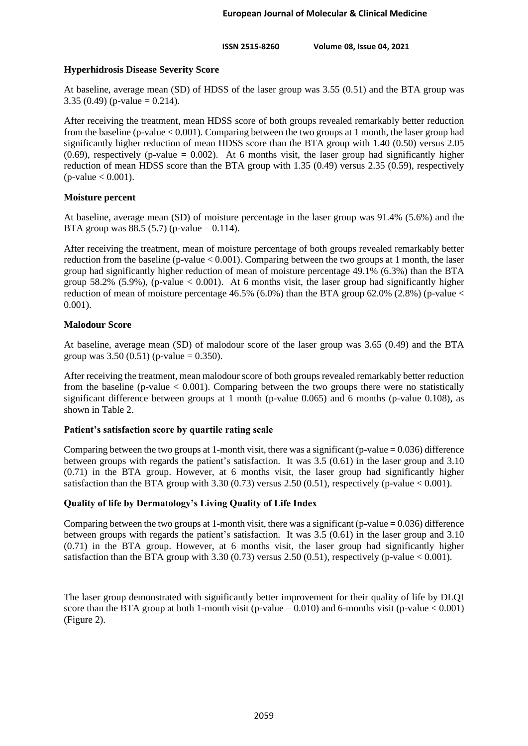# **Hyperhidrosis Disease Severity Score**

At baseline, average mean (SD) of HDSS of the laser group was 3.55 (0.51) and the BTA group was 3.35 (0.49) (p-value = 0.214).

After receiving the treatment, mean HDSS score of both groups revealed remarkably better reduction from the baseline (p-value < 0.001). Comparing between the two groups at 1 month, the laser group had significantly higher reduction of mean HDSS score than the BTA group with 1.40 (0.50) versus 2.05  $(0.69)$ , respectively (p-value = 0.002). At 6 months visit, the laser group had significantly higher reduction of mean HDSS score than the BTA group with 1.35 (0.49) versus 2.35 (0.59), respectively  $(p-value < 0.001)$ .

## **Moisture percent**

At baseline, average mean (SD) of moisture percentage in the laser group was 91.4% (5.6%) and the BTA group was 88.5 (5.7) (p-value = 0.114).

After receiving the treatment, mean of moisture percentage of both groups revealed remarkably better reduction from the baseline (p-value  $< 0.001$ ). Comparing between the two groups at 1 month, the laser group had significantly higher reduction of mean of moisture percentage 49.1% (6.3%) than the BTA group 58.2% (5.9%), (p-value  $\lt$  0.001). At 6 months visit, the laser group had significantly higher reduction of mean of moisture percentage  $46.5\%$  (6.0%) than the BTA group 62.0% (2.8%) (p-value  $\lt$ 0.001).

## **Malodour Score**

At baseline, average mean (SD) of malodour score of the laser group was 3.65 (0.49) and the BTA group was  $3.50(0.51)$  (p-value = 0.350).

After receiving the treatment, mean malodour score of both groups revealed remarkably better reduction from the baseline (p-value  $< 0.001$ ). Comparing between the two groups there were no statistically significant difference between groups at 1 month (p-value 0.065) and 6 months (p-value 0.108), as shown in Table 2.

# **Patient's satisfaction score by quartile rating scale**

Comparing between the two groups at 1-month visit, there was a significant (p-value  $= 0.036$ ) difference between groups with regards the patient's satisfaction. It was 3.5 (0.61) in the laser group and 3.10 (0.71) in the BTA group. However, at 6 months visit, the laser group had significantly higher satisfaction than the BTA group with  $3.30$  (0.73) versus  $2.50$  (0.51), respectively (p-value  $< 0.001$ ).

# **Quality of life by Dermatology's Living Quality of Life Index**

Comparing between the two groups at 1-month visit, there was a significant (p-value  $= 0.036$ ) difference between groups with regards the patient's satisfaction. It was 3.5 (0.61) in the laser group and 3.10 (0.71) in the BTA group. However, at 6 months visit, the laser group had significantly higher satisfaction than the BTA group with  $3.30(0.73)$  versus  $2.50(0.51)$ , respectively (p-value < 0.001).

The laser group demonstrated with significantly better improvement for their quality of life by DLQI score than the BTA group at both 1-month visit (p-value =  $0.010$ ) and 6-months visit (p-value <  $0.001$ ) (Figure 2).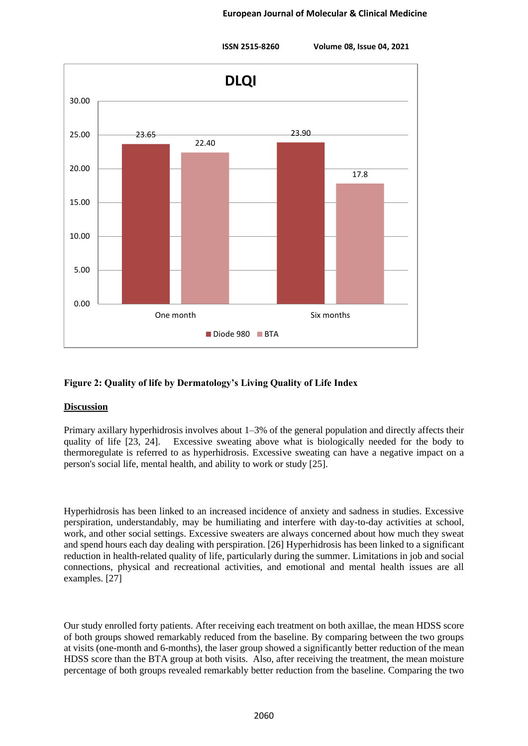

# **Figure 2: Quality of life by Dermatology's Living Quality of Life Index**

## **Discussion**

Primary axillary hyperhidrosis involves about 1–3% of the general population and directly affects their quality of life [23, 24]. Excessive sweating above what is biologically needed for the body to thermoregulate is referred to as hyperhidrosis. Excessive sweating can have a negative impact on a person's social life, mental health, and ability to work or study [25].

Hyperhidrosis has been linked to an increased incidence of anxiety and sadness in studies. Excessive perspiration, understandably, may be humiliating and interfere with day-to-day activities at school, work, and other social settings. Excessive sweaters are always concerned about how much they sweat and spend hours each day dealing with perspiration. [26] Hyperhidrosis has been linked to a significant reduction in health-related quality of life, particularly during the summer. Limitations in job and social connections, physical and recreational activities, and emotional and mental health issues are all examples. [27]

Our study enrolled forty patients. After receiving each treatment on both axillae, the mean HDSS score of both groups showed remarkably reduced from the baseline. By comparing between the two groups at visits (one-month and 6-months), the laser group showed a significantly better reduction of the mean HDSS score than the BTA group at both visits. Also, after receiving the treatment, the mean moisture percentage of both groups revealed remarkably better reduction from the baseline. Comparing the two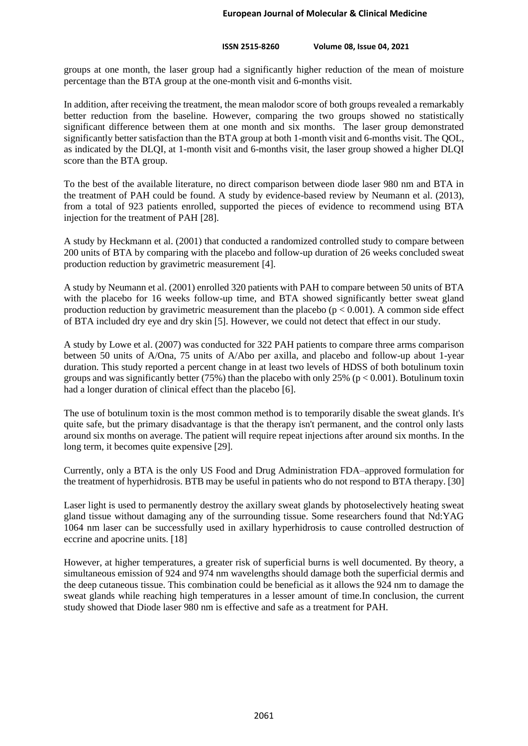groups at one month, the laser group had a significantly higher reduction of the mean of moisture percentage than the BTA group at the one-month visit and 6-months visit.

In addition, after receiving the treatment, the mean malodor score of both groups revealed a remarkably better reduction from the baseline. However, comparing the two groups showed no statistically significant difference between them at one month and six months. The laser group demonstrated significantly better satisfaction than the BTA group at both 1-month visit and 6-months visit. The QOL, as indicated by the DLQI, at 1-month visit and 6-months visit, the laser group showed a higher DLQI score than the BTA group.

To the best of the available literature, no direct comparison between diode laser 980 nm and BTA in the treatment of PAH could be found. A study by evidence-based review by Neumann et al. (2013), from a total of 923 patients enrolled, supported the pieces of evidence to recommend using BTA injection for the treatment of PAH [28].

A study by Heckmann et al. (2001) that conducted a randomized controlled study to compare between 200 units of BTA by comparing with the placebo and follow-up duration of 26 weeks concluded sweat production reduction by gravimetric measurement [4].

A study by Neumann et al. (2001) enrolled 320 patients with PAH to compare between 50 units of BTA with the placebo for 16 weeks follow-up time, and BTA showed significantly better sweat gland production reduction by gravimetric measurement than the placebo  $(p < 0.001)$ . A common side effect of BTA included dry eye and dry skin [5]. However, we could not detect that effect in our study.

A study by Lowe et al. (2007) was conducted for 322 PAH patients to compare three arms comparison between 50 units of A/Ona, 75 units of A/Abo per axilla, and placebo and follow-up about 1-year duration. This study reported a percent change in at least two levels of HDSS of both botulinum toxin groups and was significantly better (75%) than the placebo with only 25% ( $p < 0.001$ ). Botulinum toxin had a longer duration of clinical effect than the placebo [6].

The use of botulinum toxin is the most common method is to temporarily disable the sweat glands. It's quite safe, but the primary disadvantage is that the therapy isn't permanent, and the control only lasts around six months on average. The patient will require repeat injections after around six months. In the long term, it becomes quite expensive [29].

Currently, only a BTA is the only US Food and Drug Administration FDA–approved formulation for the treatment of hyperhidrosis. BTB may be useful in patients who do not respond to BTA therapy. [30]

Laser light is used to permanently destroy the axillary sweat glands by photoselectively heating sweat gland tissue without damaging any of the surrounding tissue. Some researchers found that Nd:YAG 1064 nm laser can be successfully used in axillary hyperhidrosis to cause controlled destruction of eccrine and apocrine units. [18]

However, at higher temperatures, a greater risk of superficial burns is well documented. By theory, a simultaneous emission of 924 and 974 nm wavelengths should damage both the superficial dermis and the deep cutaneous tissue. This combination could be beneficial as it allows the 924 nm to damage the sweat glands while reaching high temperatures in a lesser amount of time.In conclusion, the current study showed that Diode laser 980 nm is effective and safe as a treatment for PAH.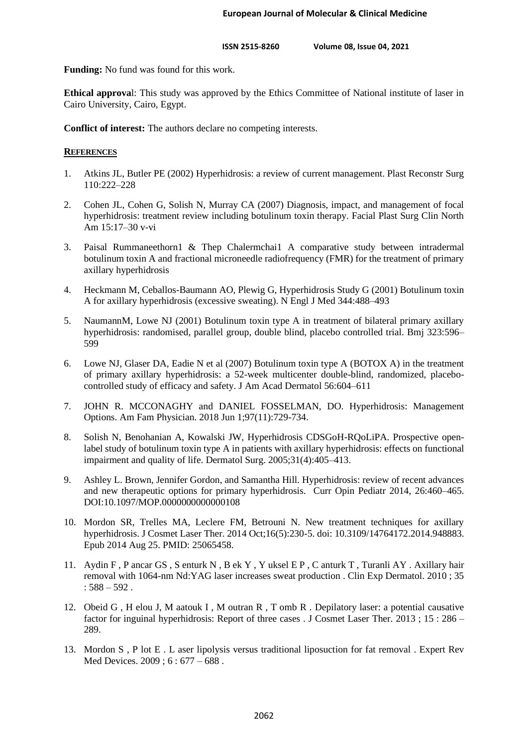**Funding:** No fund was found for this work.

**Ethical approva**l: This study was approved by the Ethics Committee of National institute of laser in Cairo University, Cairo, Egypt.

**Conflict of interest:** The authors declare no competing interests.

## **REFERENCES**

- 1. Atkins JL, Butler PE (2002) Hyperhidrosis: a review of current management. Plast Reconstr Surg 110:222–228
- 2. Cohen JL, Cohen G, Solish N, Murray CA (2007) Diagnosis, impact, and management of focal hyperhidrosis: treatment review including botulinum toxin therapy. Facial Plast Surg Clin North Am 15:17–30 v-vi
- 3. Paisal Rummaneethorn1 & Thep Chalermchai1 A comparative study between intradermal botulinum toxin A and fractional microneedle radiofrequency (FMR) for the treatment of primary axillary hyperhidrosis
- 4. Heckmann M, Ceballos-Baumann AO, Plewig G, Hyperhidrosis Study G (2001) Botulinum toxin A for axillary hyperhidrosis (excessive sweating). N Engl J Med 344:488–493
- 5. NaumannM, Lowe NJ (2001) Botulinum toxin type A in treatment of bilateral primary axillary hyperhidrosis: randomised, parallel group, double blind, placebo controlled trial. Bmj 323:596– 599
- 6. Lowe NJ, Glaser DA, Eadie N et al (2007) Botulinum toxin type A (BOTOX A) in the treatment of primary axillary hyperhidrosis: a 52-week multicenter double-blind, randomized, placebocontrolled study of efficacy and safety. J Am Acad Dermatol 56:604–611
- 7. JOHN R. MCCONAGHY and DANIEL FOSSELMAN, DO. Hyperhidrosis: Management Options. Am Fam Physician. 2018 Jun 1;97(11):729-734.
- 8. Solish N, Benohanian A, Kowalski JW, Hyperhidrosis CDSGoH-RQoLiPA. Prospective openlabel study of botulinum toxin type A in patients with axillary hyperhidrosis: effects on functional impairment and quality of life. Dermatol Surg. 2005;31(4):405–413.
- 9. Ashley L. Brown, Jennifer Gordon, and Samantha Hill. Hyperhidrosis: review of recent advances and new therapeutic options for primary hyperhidrosis. Curr Opin Pediatr 2014, 26:460–465. DOI:10.1097/MOP.0000000000000108
- 10. Mordon SR, Trelles MA, Leclere FM, Betrouni N. New treatment techniques for axillary hyperhidrosis. J Cosmet Laser Ther. 2014 Oct;16(5):230-5. doi: 10.3109/14764172.2014.948883. Epub 2014 Aug 25. PMID: 25065458.
- 11. Aydin F , P ancar GS , S enturk N , B ek Y , Y uksel E P , C anturk T , Turanli AY . Axillary hair removal with 1064-nm Nd:YAG laser increases sweat production . Clin Exp Dermatol. 2010 ; 35  $: 588 - 592$ .
- 12. Obeid G , H elou J, M aatouk I , M outran R , T omb R . Depilatory laser: a potential causative factor for inguinal hyperhidrosis: Report of three cases . J Cosmet Laser Ther. 2013 ; 15 : 286 – 289.
- 13. Mordon S , P lot E . L aser lipolysis versus traditional liposuction for fat removal . Expert Rev Med Devices. 2009 ; 6 : 677 – 688.